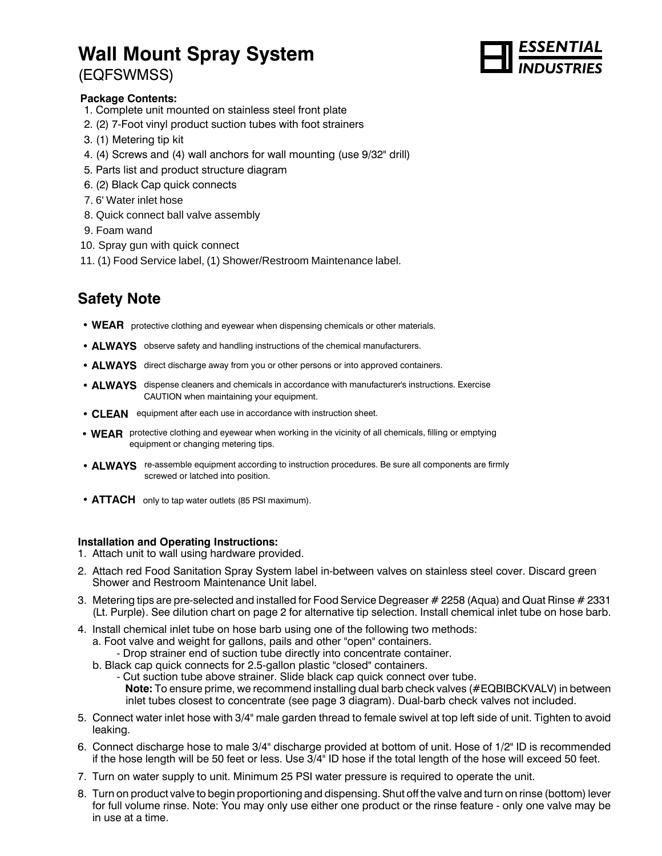# **Wall Mount Spray System**

# (EQFSWMSS)



#### **Package Contents:**

- 1. Complete unit mounted on stainless steel front plate
- 2. (2) 7-Foot vinyl product suction tubes with foot strainers
- 3. (1) Metering tip kit
- 4. (4) Screws and (4) wall anchors for wall mounting (use 9/32" drill)
- 5. Parts list and product structure diagram
- 6. (2) Black Cap quick connects
- 7. 6' Water inlet hose
- 8. Quick connect ball valve assembly
- 9. Foam wand
- 10. Spray gun with quick connect
- 11. (1) Food Service label, (1) Shower/Restroom Maintenance label.

# **Safety Note**

- WEAR protective clothing and eyewear when dispensing chemicals or other materials.
- ALWAYS observe safety and handling instructions of the chemical manufacturers.
- ALWAYS direct discharge away from you or other persons or into approved containers.
- **ALWAYS** dispense cleaners and chemicals in accordance with manufacturer's instructions. Exercise CAUTION when maintaining your equipment.
- **CLEAN** equipment after each use in accordance with instruction sheet.
- **WEAR** protective clothing and eyewear when working in the vicinity of all chemicals, filling or emptying equipment or changing metering tips.
- **ALWAYS** re-assemble equipment according to instruction procedures. Be sure all components are firmly screwed or latched into position.
- **ATTACH** only to tap water outlets (85 PSI maximum).

#### **Installation and Operating Instructions:**

- 1. Attach unit to wall using hardware provided.
- 2. Attach red Food Sanitation Spray System label in-between valves on stainless steel cover. Discard green Shower and Restroom Maintenance Unit label.
- 3. Metering tips are pre-selected and installed for Food Service Degreaser # 2258 (Aqua) and Quat Rinse # 2331 (Lt. Purple). See dilution chart on page 2 for alternative tip selection. Install chemical inlet tube on hose barb.
- 4. Install chemical inlet tube on hose barb using one of the following two methods:
	- a. Foot valve and weight for gallons, pails and other "open" containers.
		- Drop strainer end of suction tube directly into concentrate container.
	- b. Black cap quick connects for 2.5-gallon plastic "closed" containers.
		- Cut suction tube above strainer. Slide black cap quick connect over tube. **Note:** To ensure prime, we recommend installing dual barb check valves (#EQBIBCKVALV) in between inlet tubes closest to concentrate (see page 3 diagram). Dual-barb check valves not included.
- 5. Connect water inlet hose with 3/4" male garden thread to female swivel at top left side of unit. Tighten to avoid leaking.
- 6. Connect discharge hose to male 3/4" discharge provided at bottom of unit. Hose of 1/2" ID is recommended if the hose length will be 50 feet or less. Use 3/4" ID hose if the total length of the hose will exceed 50 feet.
- 7. Turn on water supply to unit. Minimum 25 PSI water pressure is required to operate the unit.
- 8. Turn on product valve to begin proportioning and dispensing. Shut off the valve and turn on rinse (bottom) lever for full volume rinse. Note: You may only use either one product or the rinse feature - only one valve may be in use at a time.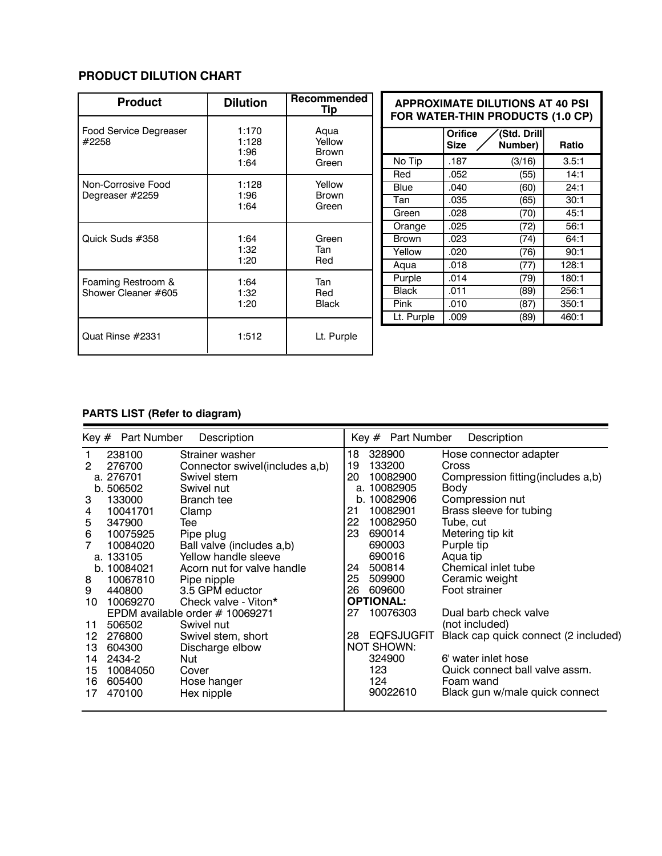### **PRODUCT DILUTION CHART**

| <b>Product</b>                  | <b>Dilution</b>                | Recommended<br>Tip                      |              | <b>APPROXIMATE DILUTIONS AT 40 PSI</b><br>FOR WATER-THIN PRODUCTS (1.0 CP) |                        |       |
|---------------------------------|--------------------------------|-----------------------------------------|--------------|----------------------------------------------------------------------------|------------------------|-------|
| Food Service Degreaser<br>#2258 | 1:170<br>1:128<br>1:96<br>1:64 | Aqua<br>Yellow<br><b>Brown</b><br>Green |              | <b>Orifice</b><br><b>Size</b>                                              | (Std. Drill<br>Number) | Ratio |
|                                 |                                |                                         | No Tip       | .187                                                                       | (3/16)                 | 3.5:1 |
|                                 |                                |                                         | Red          | .052                                                                       | (55)                   | 14:1  |
| Non-Corrosive Food              | 1:128                          | Yellow<br><b>Brown</b><br>Green         | <b>Blue</b>  | .040                                                                       | (60)                   | 24:1  |
| Degreaser #2259                 | 1:96<br>1:64                   |                                         | Tan          | .035                                                                       | (65)                   | 30:1  |
|                                 |                                |                                         | Green        | .028                                                                       | (70)                   | 45:1  |
|                                 | 1:64<br>1:32<br>1:20           | Green<br>Tan<br>Red                     | Orange       | .025                                                                       | (72)                   | 56:1  |
| Quick Suds #358                 |                                |                                         | <b>Brown</b> | .023                                                                       | (74)                   | 64:1  |
|                                 |                                |                                         | Yellow       | .020                                                                       | (76)                   | 90:1  |
|                                 |                                |                                         | Aqua         | .018                                                                       | (77)                   | 128:1 |
| Foaming Restroom &              | 1:64<br>1:32<br>1:20           | Tan<br>Red<br><b>Black</b>              | Purple       | .014                                                                       | (79)                   | 180:1 |
| Shower Cleaner #605             |                                |                                         | <b>Black</b> | .011                                                                       | (89)                   | 256:1 |
|                                 |                                |                                         | Pink         | .010                                                                       | (87)                   | 350:1 |
|                                 |                                |                                         | Lt. Purple   | .009                                                                       | (89)                   | 460:1 |
| Quat Rinse #2331                | 1:512                          | Lt. Purple                              |              |                                                                            |                        |       |

## **PARTS LIST (Refer to diagram)**

| Key # Part Number<br>Description |             |                                | Key # Part Number<br>Description |                       |                                      |
|----------------------------------|-------------|--------------------------------|----------------------------------|-----------------------|--------------------------------------|
|                                  | 238100      | Strainer washer                | 18                               | 328900                | Hose connector adapter               |
| 2                                | 276700      | Connector swivel(includes a,b) | 19                               | 133200                | Cross                                |
|                                  | a. 276701   | Swivel stem                    | 20                               | 10082900              | Compression fitting (includes a,b)   |
|                                  | b. 506502   | Swivel nut                     | a.                               | 10082905              | Body                                 |
| 3                                | 133000      | Branch tee                     |                                  | b. 10082906           | Compression nut                      |
| 4                                | 10041701    | Clamp                          | 21                               | 10082901              | Brass sleeve for tubing              |
| 5                                | 347900      | Tee                            | 22                               | 10082950              | Tube, cut                            |
| 6                                | 10075925    | Pipe plug                      | 23                               | 690014                | Metering tip kit                     |
| 7                                | 10084020    | Ball valve (includes a,b)      |                                  | 690003                | Purple tip                           |
|                                  | a. 133105   | Yellow handle sleeve           |                                  | 690016                | Aqua tip                             |
|                                  | b. 10084021 | Acorn nut for valve handle     | 24                               | 500814                | Chemical inlet tube                  |
| 8                                | 10067810    | Pipe nipple                    | 25                               | 509900                | Ceramic weight                       |
| 9                                | 440800      | 3.5 GPM eductor                | 26                               | 609600                | Foot strainer                        |
| 10                               | 10069270    | Check valve - Viton*           |                                  | <b>OPTIONAL:</b>      |                                      |
| EPDM available order # 10069271  |             | 27                             | 10076303                         | Dual barb check valve |                                      |
| 11                               | 506502      | Swivel nut                     |                                  |                       | (not included)                       |
| 12                               | 276800      | Swivel stem, short             | 28                               | <b>EQFSJUGFIT</b>     | Black cap quick connect (2 included) |
| 13                               | 604300      | Discharge elbow                |                                  | <b>NOT SHOWN:</b>     |                                      |
| 14                               | 2434-2      | Nut                            |                                  | 324900                | 6' water inlet hose                  |
| 15                               | 10084050    | Cover                          |                                  | 123                   | Quick connect ball valve assm.       |
| 16                               | 605400      | Hose hanger                    |                                  | 124                   | Foam wand                            |
| 17                               | 470100      | Hex nipple                     |                                  | 90022610              | Black gun w/male quick connect       |
|                                  |             |                                |                                  |                       |                                      |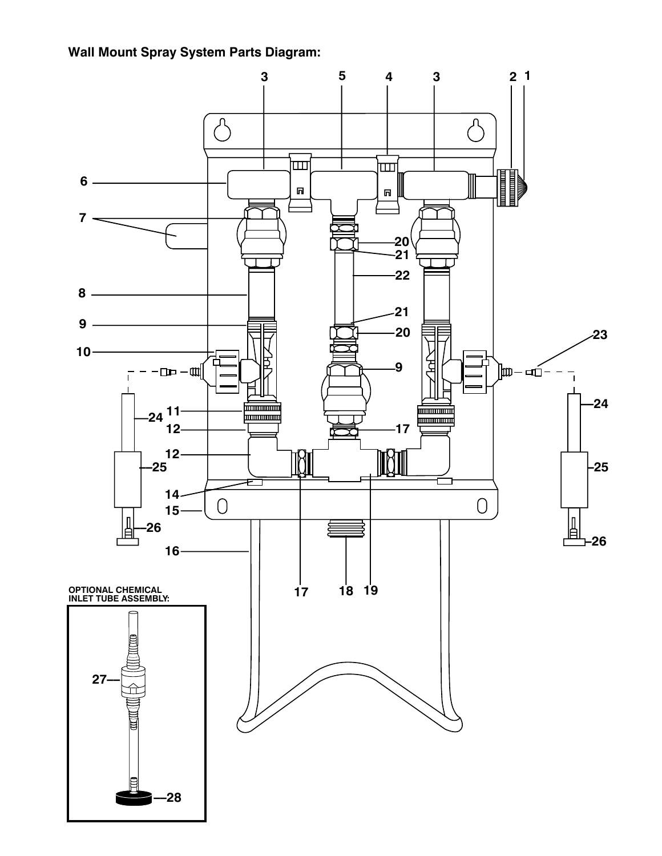**Wall Mount Spray System Parts Diagram:**